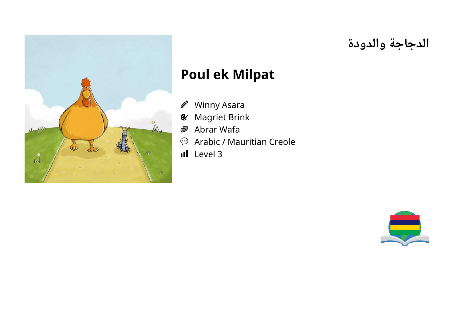

# **الدجاجة والدودة**

# **Poul ek Milpat**

- Winny Asara J)
- Magriet Brink  $\mathcal{C}$
- Abrar Wafa 粵
- $\bigodot$ Arabic / Mauritian Creole
- Il Level 3

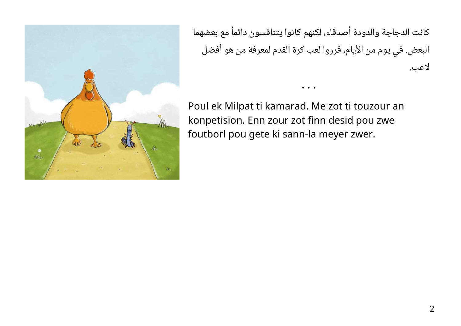

كانت الدجاجة والدودة أصدقاء، لكنهم كانوا يتنافسون دائماً مع بعضهما البعض. في يوم من الأيام، قرروا لعب كرة القدم لمعرفة من هو أفضل لاعب.

• • •

Poul ek Milpat ti kamarad. Me zot ti touzour an konpetision. Enn zour zot finn desid pou zwe foutborl pou gete ki sann-la meyer zwer.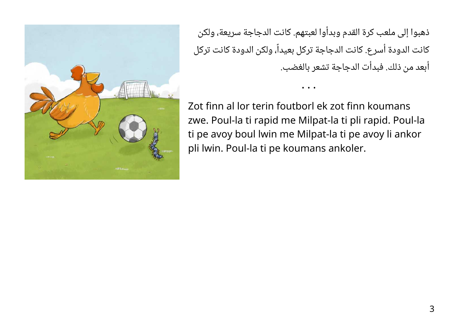ذهبوا إلى ملعب كرة القدم وبدأوا لعبتهم. كانت الدجاجة سريعة، ولكن كانت الدودة أسرع. كانت الدجاجة تركل بعيداً، ولكن الدودة كانت تركل أبعد من ذلك. فبدأت الدجاجة تشعر بالغضب.

• • •

Zot finn al lor terin foutborl ek zot finn koumans zwe. Poul-la ti rapid me Milpat-la ti pli rapid. Poul-la ti pe avoy boul lwin me Milpat-la ti pe avoy li ankor pli lwin. Poul-la ti pe koumans ankoler.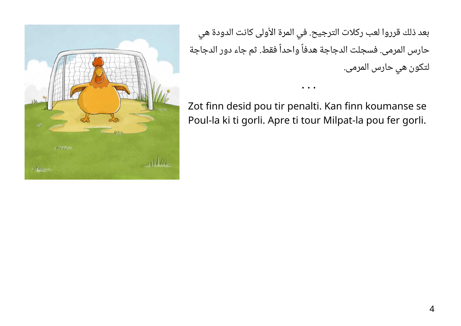بعد ذلك قرروا لعب ركلات الترجيح. في المرة الأولى كانت الدودة هي حارس المرمى. فسجلت الدجاجة هدفاً واحداً فقط. ثم جاء دور الدجاجة لتكون هي حارس المرمى.

Zot finn desid pou tir penalti. Kan finn koumanse se Poul-la ki ti gorli. Apre ti tour Milpat-la pou fer gorli.

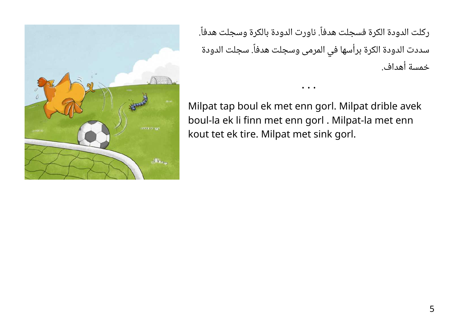

ركلت الدودة الكرة فسجلت هدفاً. ناورت الدودة بالكرة وسجلت هدفاً. سددت الدودة الكرة برأسها في المرمى وسجلت هدفاً. سجلت الدودة خمسة أهداف.

Milpat tap boul ek met enn gorl. Milpat drible avek boul-la ek li finn met enn gorl . Milpat-la met enn kout tet ek tire. Milpat met sink gorl.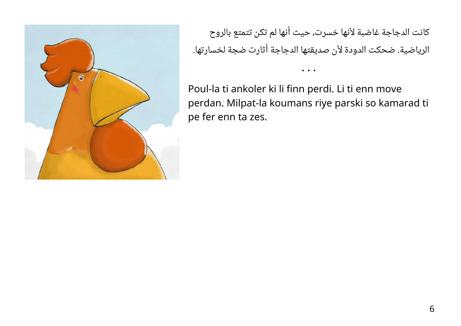

كانت الدجاجة غاضبة لأنها خسرت، حيث أنها لم تكن تتمتع بالروح الرياضية. ضحكت الدودة لأن صديقتها الدجاجة أثارت ضجة لخسارتها.

Poul-la ti ankoler ki li finn perdi. Li ti enn move perdan. Milpat-la koumans riye parski so kamarad ti pe fer enn ta zes.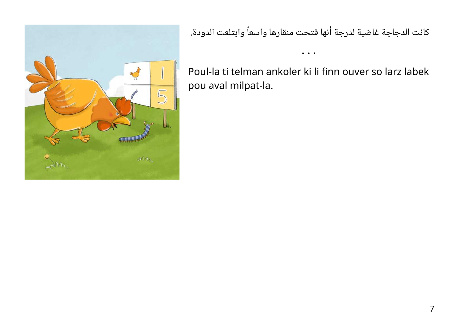

كانت الدجاجة غاضبة لدرجة أنها فتحت منقارها واسعاً وابتلعت الدودة.

• • •

Poul-la ti telman ankoler ki li finn ouver so larz labek pou aval milpat-la.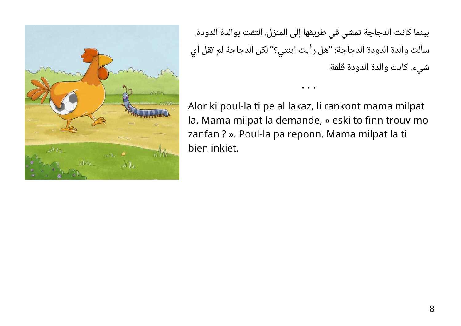

بينما كانت الدجاجة تمشي في طريقها إلى المنزل، التقت بوالدة الدودة. سألت والدة الدودة الدجاجة: "هل رأيت ابنتي؟" لكن الدجاجة لم تقل أي شيء. كانت والدة الدودة قلقة.

Alor ki poul-la ti pe al lakaz, li rankont mama milpat la. Mama milpat la demande, « eski to finn trouv mo zanfan ? ». Poul-la pa reponn. Mama milpat la ti bien inkiet.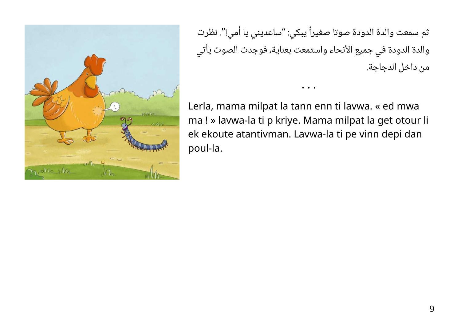

ثم سمعت والدة الدودة صوتا صغيراً يبكي: "ساعديني يا أمي!". نظرت والدة الدودة في جميع الأنحاء واستمعت بعناية، فوجدت الصوت يأتي من داخل الدجاجة.

Lerla, mama milpat la tann enn ti lavwa. « ed mwa ma ! » lavwa-la ti p kriye. Mama milpat la get otour li ek ekoute atantivman. Lavwa-la ti pe vinn depi dan poul-la.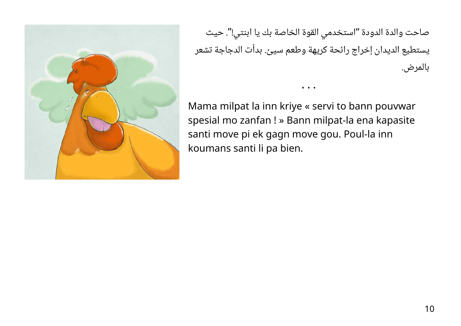

صاحت والدة الدودة "استخدمي القوة الخاصة بك يا ابنتي!". حيث يستطيع الديدان إخراج رائحة كريهة وطعم سيئ. بدأت الدجاجة تشعر بالمرض.

• • •

Mama milpat la inn kriye « servi to bann pouvwar spesial mo zanfan ! » Bann milpat-la ena kapasite santi move pi ek gagn move gou. Poul-la inn koumans santi li pa bien.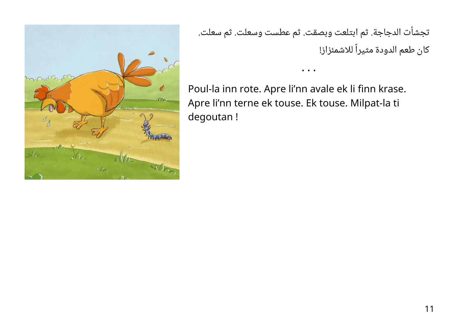

تجشأت الدجاجة. ثم ابتلعت وبصقت. ثم عطست وسعلت. ثم سعلت. كان طعم الدودة مثيراً للاشمئزاز!

• • •

Poul-la inn rote. Apre li'nn avale ek li finn krase. Apre li'nn terne ek touse. Ek touse. Milpat-la ti degoutan !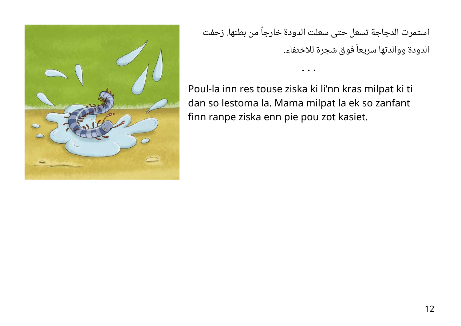

استمرت الدجاجة تسعل حتى سعلت الدودة خارجاً من بطنها. زحفت الدودة ووالدتها سريعاً فوق شجرة للاختفاء.

• • •

Poul-la inn res touse ziska ki li'nn kras milpat ki ti dan so lestoma la. Mama milpat la ek so zanfant finn ranpe ziska enn pie pou zot kasiet.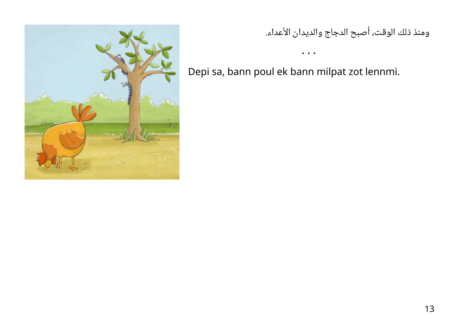

### ومنذ ذلك الوقت، أصبح الدجاج والديدان الأعداء.

Depi sa, bann poul ek bann milpat zot lennmi.